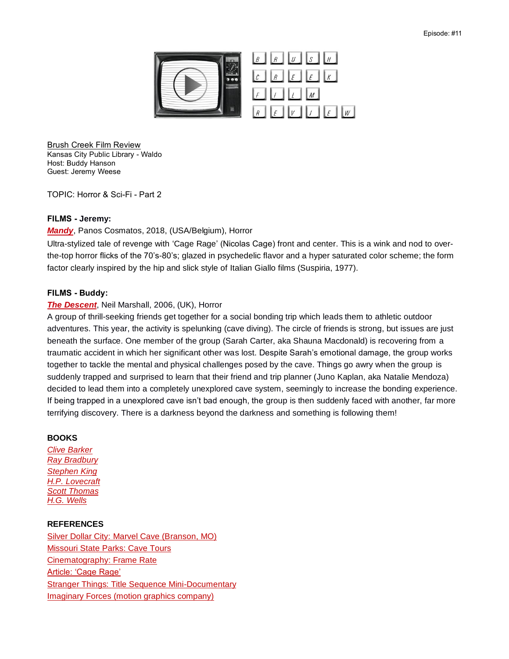

Brush Creek Film Review Kansas City Public Library - Waldo Host: Buddy Hanson Guest: Jeremy Weese

TOPIC: Horror & Sci-Fi - Part 2

### **FILMS - Jeremy:**

#### *[Mandy](https://kclibrary.bibliocommons.com/v2/record/S120C2699572)*, Panos Cosmatos, 2018, (USA/Belgium), Horror

Ultra-stylized tale of revenge with 'Cage Rage' (Nicolas Cage) front and center. This is a wink and nod to overthe-top horror flicks of the 70's-80's; glazed in psychedelic flavor and a hyper saturated color scheme; the form factor clearly inspired by the hip and slick style of Italian Giallo films (Suspiria, 1977).

#### **FILMS - Buddy:**

#### *[The](https://kclibrary.bibliocommons.com/v2/record/S120C2774537) Descent*, Neil Marshall, 2006, (UK), Horror

A group of thrill-seeking friends get together for a social bonding trip which leads them to athletic outdoor adventures. This year, the activity is spelunking (cave diving). The circle of friends is strong, but issues are just beneath the surface. One member of the group (Sarah Carter, aka Shauna Macdonald) is recovering from a traumatic accident in which her significant other was lost. Despite Sarah's emotional damage, the group works together to tackle the mental and physical challenges posed by the cave. Things go awry when the group is suddenly trapped and surprised to learn that their friend and trip planner (Juno Kaplan, aka Natalie Mendoza) decided to lead them into a completely unexplored cave system, seemingly to increase the bonding experience. If being trapped in a unexplored cave isn't bad enough, the group is then suddenly faced with another, far more terrifying discovery. There is a darkness beyond the darkness and something is following them!

#### **BOOKS**

*[Clive Barker](https://kclibrary.bibliocommons.com/v2/search?query=clive%20barker&searchType=author) [Ray Bradbury](https://kclibrary.bibliocommons.com/v2/search?query=ray+bradbury&searchType=smart) [Stephen King](https://kclibrary.bibliocommons.com/v2/search?query=stephen%20king&searchType=author) [H.P. Lovecraft](https://kclibrary.bibliocommons.com/v2/search?query=h.p.+lovecraft&searchType=smart) [Scott Thomas](https://kclibrary.bibliocommons.com/v2/search?query=Thomas%2C%20Scott&searchType=author) [H.G. Wells](https://kclibrary.bibliocommons.com/v2/search?query=hg%20wells&searchType=smart)*

## **REFERENCES**

[Silver Dollar City: Marvel Cave \(Branson, MO\)](https://www.silverdollarcity.com/theme-park/Attractions/Rides/Marvel-Cave) [Missouri State Parks: Cave Tours](https://mostateparks.com/activity/cave-tours) [Cinematography: Frame Rate](https://en.wikipedia.org/wiki/Frame_rate) [Article: 'Cage Rage'](https://www.theguardian.com/film/2018/sep/19/nicolas-cage-rage-internet-meme-mandy#:~:text=Nicolas%20Cage%20has%20expressed%20his,the%20directors%20of%20his%20films.&text=Cage%20rage%20is%20the%20name,which%20he%20has%20become%20notorious.) [Stranger Things: Title Sequence Mini-Documentary](https://www.youtube.com/watch?v=_a1lp_ygGB4) [Imaginary Forces \(motion graphics company\)](https://imaginaryforces.com/)